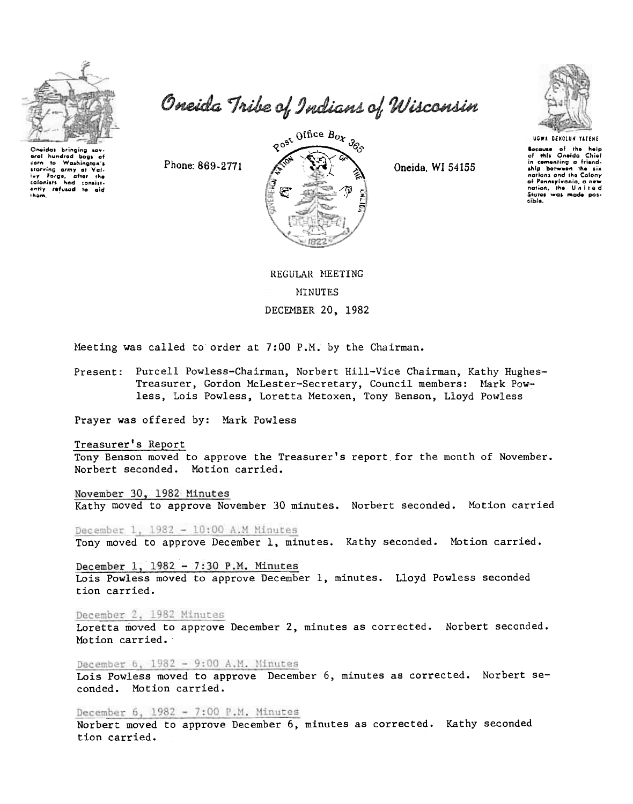

baas of

eral hundrod

carn to Washington's

the Forge, after the<br>colonists had consistently refused to aid

Oneida Tribe of Indians of Wisconsin

 $80^{95}$  Office  $B_{Ox}$   $365$ 

Oneida, WI 54155



**Socause** of the help of this Oneida Chief in comonting a friend-<br>ship between the six nations and the Colony of Pennsylvania, a new sible.

REGULAR MEETING **MINUTES** DECEMBER 20, 1982

Meeting was called to order at 7:00 P.M. by the Chairman.

Present: Purcell Powless-Chairman, Norbert Hill-Vice Chairman, Kathy Hughes-Treasurer, Gordon McLester-Secretary, Council members: Mark Powless, Lois Powless, Loretta Metoxen, Tony Benson, Lloyd Powless

Prayer was offered by: Mark Powless

Phone: 869-2771

Treasurer's Report

Tony Benson moved to approve the Treasurer's report for the month of November. Norbert seconded. Motion carried.

November 30, 1982 Minutes

Kathy moved to approve November 30 minutes. Norbert seconded. Motion carried

December 1, 1982 - 10:00 A.M Minutes

Tony moved to approve December 1, minutes. Kathy seconded. Motion carried.

December 1,  $1982 - 7:30$  P.M. Minutes Lois Powless moved to approve December 1, minutes. Lloyd Powless seconded tion carried.

December 2, 1982 Minutes

Loretta moved to approve December 2, minutes as corrected. Norbert seconded. Motion carried.

December 6, 1982 - 9:00 A.M. Minutes

Lois Powless moved to approve December 6, minutes as corrected. Norbert seconded. Motion carried.

December 6,  $1982 - 7:00$  P.M. Minutes

Norbert moved to approve December 6, minutes as corrected. Kathy seconded tion carried.